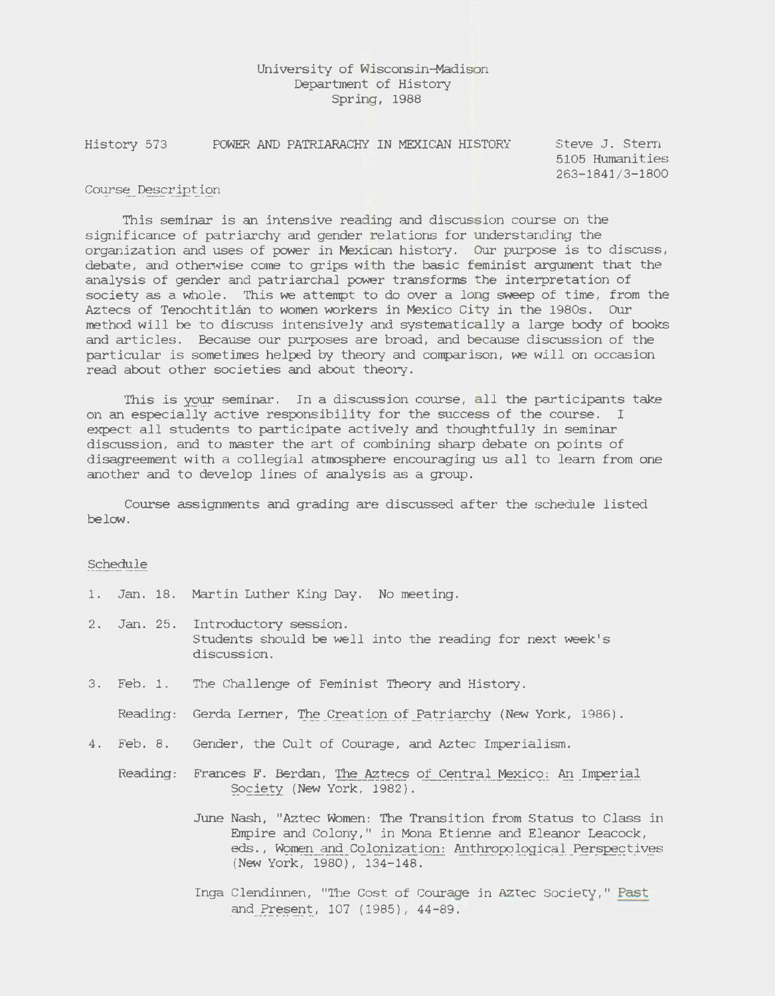## University of Wisconsin-Madison Department of History Spring, 1988

History 573 POWER AND PATRIARACHY IN MEXICAN HISTORY Steve J. Stern

5105 Humanities 263-1841/3-1800

## Course Description

This seminar is an intensive reading and discussion course on the *significance* of patriarchy and gender relations for understanding the organization and uses of power *in Mexican* history. Our purpose *is* to discuss, debate, and otherwise come to grips with the *basic* feminist argument that the analysis of gender and patriarchal power transforms the interpretation of society as a whole. This we attempt to do over a long sweep of time, from the Aztecs of Tenochtitlan to women workers *in Mexico* City *in* the 1980s. Our method will be to discuss intensively and systematically a large body of books and articles. Because our purposes are broad, and because discussion of the particular *is* sometimes helped by theory and comparison, we will on occasion read about other *societies* and about theory.

This is your seminar. In a discussion course, all the participants take on an especially active responsibility for the success of the course. I expect all students to participate actively and thoughtfully *in* seminar discussion, and to master the art of *combining* sharp debate on points of disagreement with a collegial atmosphere encouraging us all to learn from one another and to develop lines of analysis as a group.

Course assignments and grading are discussed after the schedule listed below.

## Schedule

- 1. Jan. 18. Martin Luther King Day. No meeting.
- 2. Jan. 25. Introductory session. Students should be well into the reading for next week's discussion.
- 3. Feb. 1. The Challenge of Feminist Theory and History.

Reading: Gerda Lerner, The Creation of Patriarchy (New York, 1986).

- 4. Feb. 8. Gender, the CUlt of Courage, and Aztec Imperialism.
	- Reading: Frances F. Berdan, The Aztecs of Central Mexico: An Imperial Society (New York, 1982).
		- June Nash, "Aztec Women: The Transition from Status to Class *in*  Empire and Colony," in Mona Etienne and Eleanor Leacock, eds., Women and Colonization: Anthropological Perspectives (New York, 1980), 134-148.
		- Inga *Clendinnen,* "The Cost of Courage *in* Aztec Society," Past and Present, 107 (1985), 44-89.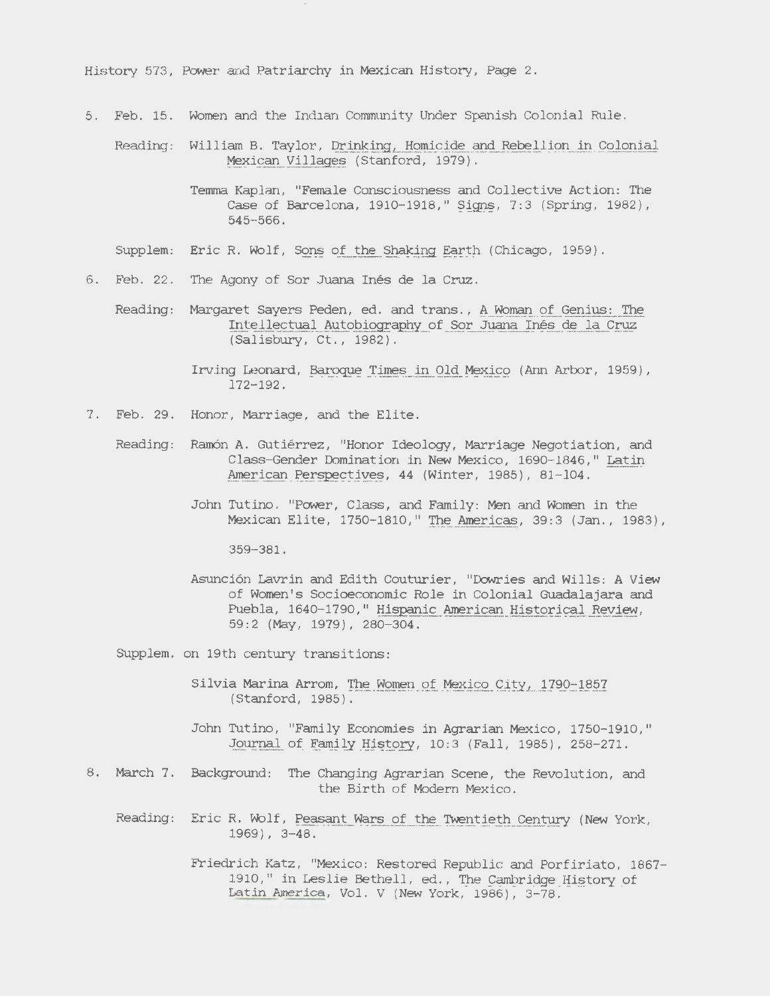History 573, Power and Patriarchy in Mexican History, Page 2.

5. Feb. 15. Women and the Indian Community Under Spanish Colonial Rule.

Reading: William B. Taylor, Drinking, Homicide and Rebellion in Colonial Mexican Villages (Stanford, 1979).

- Temma Kaplan, "Female Consciousness and Collective Action: The Case of Barcelona, 1910-1918," Signs, 7:3 (Spring, 1982), 545-566.
- SUpplem: Eric R. Wolf, Sons of the Shaking Earth (Chicago, 1959).
- 6. Feb. 22. The Agony of Sor Juana Ines de la Cruz.
	- Reading: Margaret Sayers Peden, ed. and trans., A Woman of Genius: The Intellectual Autobiography of Sor Juana Inés de la Cruz (Salisbury, Ct., 1982).

Irving Leonard, Baroque Times in Old *Mexico* (Ann Arbor, 1959) , 172-192.

- 7. Feb. 29. Honor, Marriage, and the Elite.
	- Reading: Ramón A. Gutiérrez, "Honor Ideology, Marriage Negotiation, and Class-Gender Domination in New Mexico, 1690-1846," Latin American Perspectives, 44 (Winter, 1985), 81-104.
		- John Tutino, "Power, Class, and Family: Men and Women in the Mexican Elite, 1750-1810," The Americas, 39:3 (Jan., 1983),

359-381.

Asunción Lavrin and Edith Couturier, "Dowries and Wills: A View of Wbmen's Socioeconomic Role in Colonial Guadalajara and Puebla, 1640-1790," Hispanic American Historical Review, 59:2 (May, 1979), 280-304.

SUpplem. on 19th century transitions:

- Silvia Marina Arrom, The Women of Mexico *City,* 1790-1857 (Stanford, 1985).
- John Tutino, "Family Economies in Agrarian *Mexico,* 1750-1910," Journal of *Family* History, 10:3 (Fall, 1985), 258-271.
- 8. March 7. Background: The Changing Agrarian Scene, the Revolution, and the Birth of Modern *Mexico.* 
	- Reading: Eric R. Wolf, Peasant Wars of the Twentieth Century (New York, 1969) , 3-48.

Friedrich Katz, "Mexico: Restored Republic and Porfiriato, 1867- 1910," in Leslie Bethell, ed., The Cambridge History of Latin America, Vol. V (New York, 1986), 3-78.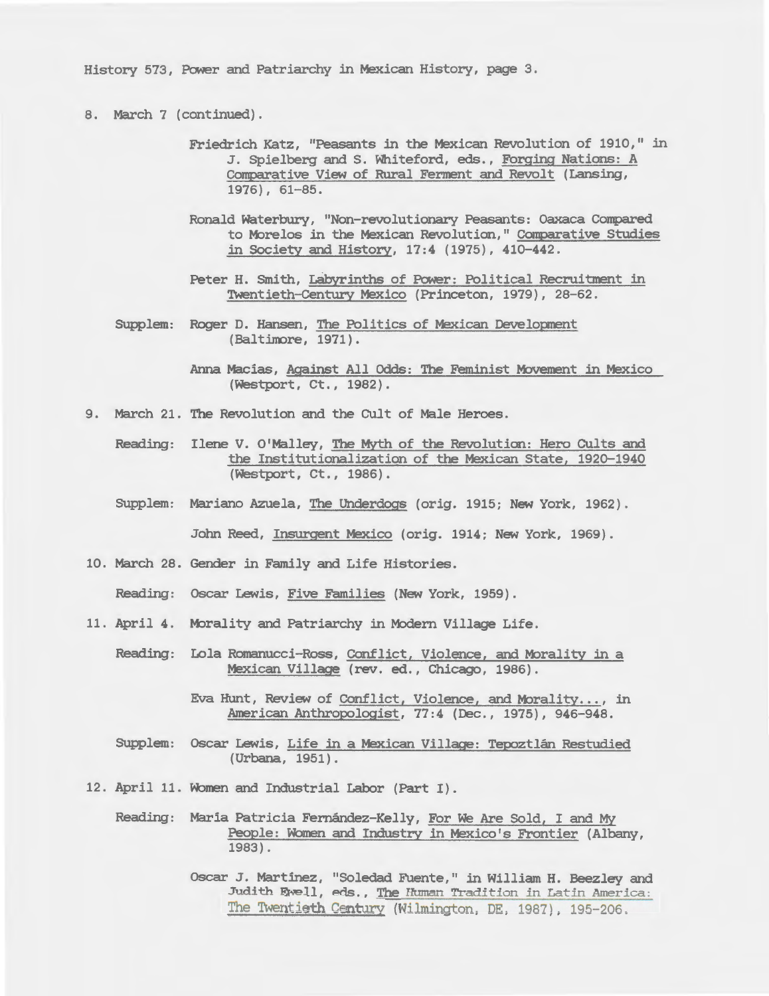History 573, Power and Patriarchy *in* Mexican History, page 3.

- 8. March 7 (continued) .
	- Friedrich Katz, "Peasants in the Mexican Revolution of 1910," in J. Spielberg and s. Whiteford, eds., Forging Nations: A Comparative View of *Rural Ferment and Revolt (Lansing,* 1976), 61-85.
	- Ronald Waterbury, "Non-revolutionary Peasants: Oaxaca Compared to Morelos in the Mexican Revolution," Comparative Studies in Society and History, 17:4 (1975), 410-442.
	- Peter H. Smith, Labyrinths of Power: *Political* Recruitment in Twentieth-Century *Mexico* (Princeton, 1979), 28-62.
	- SUpplem: Roger D. Hansen, The *Politics* of Mexican Development (Baltimore, 1971).
		- Anna Macias, Against All Odds: The Feminist Movement in Mexico (westport, Ct., 1982).
- 9. March 21. The Revolution and the CUlt of *Male* Heroes.
	- Reading: Ilene V. O'Malley, The Myth of the Revolution: Hero CUlts and the Institutionalization of the Mexican State, 1920-1940 (westport, Ct., 1986).
	- SUpplem: Mariano *Azuela,* The Underdogs (orig. 1915; New York, 1962).

John Reed, Insurgent Mexico (orig. 1914; New York, 1969).

- 10. March 28. Gender in Family and Life Histories.
	- Reading: Oscar Lewis, Five *Families* (New York, 1959).
- 11. April 4. Morality and Patriarchy in Modern Village Life.
	- Reading: Lola Romanucci-Ross, Conflict, Violence, and Morality in a Mexican *Village* (rev. ed., Chicago, 1986).
		- Eva Hunt, Review of Conflict, Violence, and Morality..., in American Anthropologist, 77:4 (Dec., 1975), 946-948.
	- SUpplem: Oscar Lewis, Life *in* a Mexican *Village:* Tepoztlan Restudied (Urbana, 1951) .
- 12. April 11 . Women and Industrial Labor (Part I) .

Reading: Maria Patricia Fernández-Kelly, For We Are Sold, I and My People: Women and Industry in Mexico's Frontier (Albany, 1983).

> Oscar J. Martinez, "Soledad Fuente," in *William* H. *Beezley* and Judith Ewell, eds., The Human Tradition *in* Latin America: The Twentieth Century (Wilmington, DE, 1987), 195-206.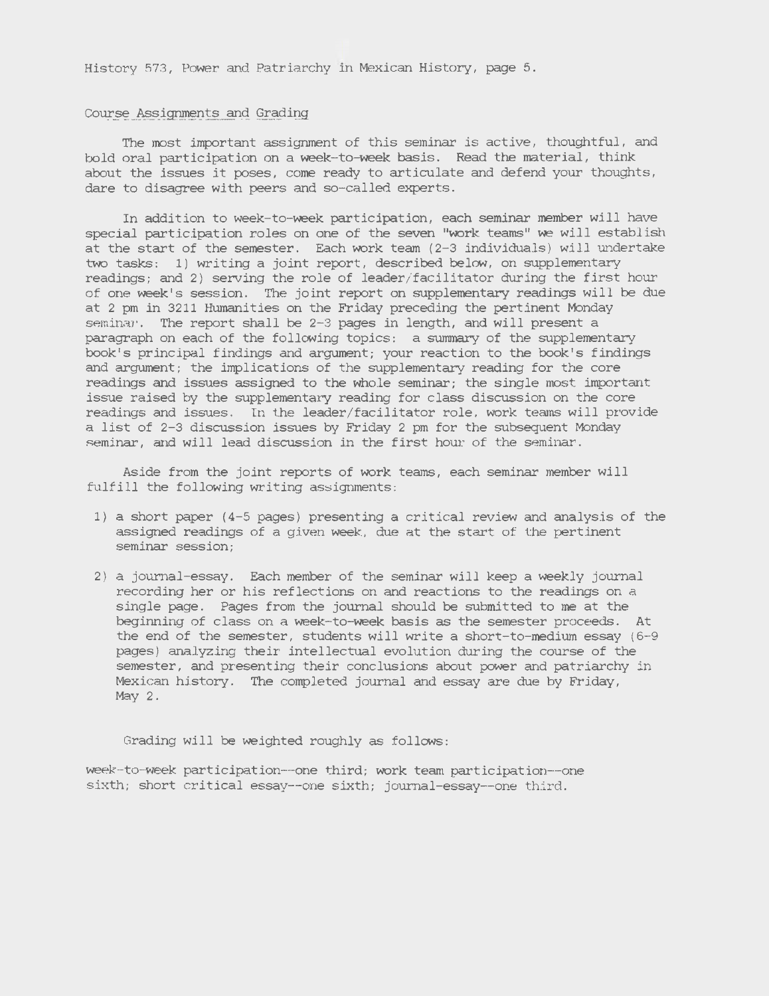History 573, Power and Patriarchy in Mexican History, page 5.

## Course Assignments and Grading

The most important assignment of this seminar is active, thoughtful, and bold oral participation on a week-to-week basis. Read the material, think about the *issues* it poses, come ready to articulate and defend your thoughts, dare to disagree with peers and so-called experts.

In addition to week-to-week participation, each seminar member will have special participation roles on one of the seven "work teams" we will establish at the start of the semester. Each work team ( 2-3 individuals) will undertake two tasks: 1) writing a joint report, described below, on supplementary readings; and 2) serving the role of leader/facilitator during the first hour of one week's session. The joint report on supplementary readings will be due at 2 pm in 3211 *Humanities* on the Friday preceding the pertinent Monday seminar. The report shall be 2-3 pages in length, and will present a paragraph on each of the following topics: a summary of the supplementary book's principal findings and argument; your reaction to the book's findings and argument; the implications of the supplementary reading for the core readings and issues assigned to the whole seminar; the *single* most important issue raised by the supplementary reading for class discussion on the core readings and issues. In the leader/facilitator role, work teams will provide a list of 2-3 discussion *issues* by Friday 2 pm for the subsequent Monday seminar, and will lead discussion in the first hour of the seminar.

Aside from the joint reports of work teams, each seminar member will fulfill the following writing assignments:

- 1) a short paper (4-5 pages) presenting a critical review and analysis of the assigned readings of a given week, due at the start of the pertinent seminar session;
- 2) a journal-essay. Each member of the seminar will keep a weekly journal recording her or his reflections on and reactions to the readings on a single page. Pages from the journal should be submitted to me at the beginning of class on a week-to-week *basis* as the semester proceeds. At the end of the semester, students *will* write a short-to-medium essay (6-9 pages) analyzing their intellectual evolution during the course of the semester, and presenting their conclusions about power and patriarchy in Mexican history. The completed journal and essay are due by Friday, May 2.

Grading will be weighted roughly as follows:

week-to-week participation--one third; work team participation-- one sixth; short critical essay--one sixth; journal-essay--one third.